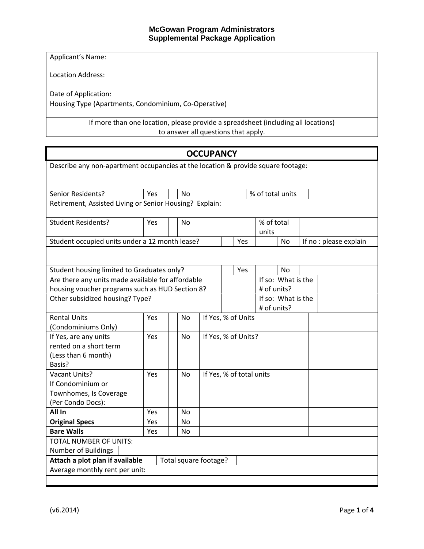Applicant's Name:

Location Address:

Date of Application:

Housing Type (Apartments, Condominium, Co-Operative)

If more than one location, please provide a spreadsheet (including all locations) to answer all questions that apply.

| <b>OCCUPANCY</b>                                                                 |                                 |  |                |                     |                          |                  |                    |                    |  |                        |
|----------------------------------------------------------------------------------|---------------------------------|--|----------------|---------------------|--------------------------|------------------|--------------------|--------------------|--|------------------------|
| Describe any non-apartment occupancies at the location & provide square footage: |                                 |  |                |                     |                          |                  |                    |                    |  |                        |
|                                                                                  |                                 |  |                |                     |                          |                  |                    |                    |  |                        |
| Senior Residents?                                                                | Yes                             |  | <b>No</b>      |                     |                          | % of total units |                    |                    |  |                        |
| Retirement, Assisted Living or Senior Housing? Explain:                          |                                 |  |                |                     |                          |                  |                    |                    |  |                        |
| % of total<br><b>Student Residents?</b>                                          |                                 |  |                |                     |                          |                  |                    |                    |  |                        |
|                                                                                  | Yes                             |  | N <sub>o</sub> |                     |                          |                  | units              |                    |  |                        |
| Student occupied units under a 12 month lease?                                   |                                 |  |                |                     |                          | Yes              |                    | <b>No</b>          |  | If no : please explain |
|                                                                                  |                                 |  |                |                     |                          |                  |                    |                    |  |                        |
| Student housing limited to Graduates only?                                       |                                 |  |                |                     |                          | Yes              |                    | <b>No</b>          |  |                        |
| Are there any units made available for affordable                                |                                 |  |                |                     |                          |                  |                    | If so: What is the |  |                        |
| housing voucher programs such as HUD Section 8?                                  |                                 |  |                |                     |                          |                  | # of units?        |                    |  |                        |
|                                                                                  | Other subsidized housing? Type? |  |                |                     |                          |                  | If so: What is the |                    |  |                        |
|                                                                                  |                                 |  |                |                     | # of units?              |                  |                    |                    |  |                        |
| <b>Rental Units</b>                                                              | Yes                             |  | <b>No</b>      | If Yes, % of Units  |                          |                  |                    |                    |  |                        |
| (Condominiums Only)                                                              |                                 |  |                |                     |                          |                  |                    |                    |  |                        |
| If Yes, are any units                                                            | Yes                             |  | No.            | If Yes, % of Units? |                          |                  |                    |                    |  |                        |
| rented on a short term                                                           |                                 |  |                |                     |                          |                  |                    |                    |  |                        |
| (Less than 6 month)                                                              |                                 |  |                |                     |                          |                  |                    |                    |  |                        |
| Basis?                                                                           |                                 |  |                |                     |                          |                  |                    |                    |  |                        |
| <b>Vacant Units?</b>                                                             | Yes                             |  | <b>No</b>      |                     | If Yes, % of total units |                  |                    |                    |  |                        |
| If Condominium or                                                                |                                 |  |                |                     |                          |                  |                    |                    |  |                        |
| Townhomes, Is Coverage                                                           |                                 |  |                |                     |                          |                  |                    |                    |  |                        |
| (Per Condo Docs):<br>All In                                                      | Yes                             |  | N <sub>0</sub> |                     |                          |                  |                    |                    |  |                        |
|                                                                                  | Yes                             |  | No.            |                     |                          |                  |                    |                    |  |                        |
| <b>Original Specs</b><br><b>Bare Walls</b>                                       | Yes                             |  | No             |                     |                          |                  |                    |                    |  |                        |
| <b>TOTAL NUMBER OF UNITS:</b>                                                    |                                 |  |                |                     |                          |                  |                    |                    |  |                        |
| Number of Buildings                                                              |                                 |  |                |                     |                          |                  |                    |                    |  |                        |
| Attach a plot plan if available<br>Total square footage?                         |                                 |  |                |                     |                          |                  |                    |                    |  |                        |
| Average monthly rent per unit:                                                   |                                 |  |                |                     |                          |                  |                    |                    |  |                        |
|                                                                                  |                                 |  |                |                     |                          |                  |                    |                    |  |                        |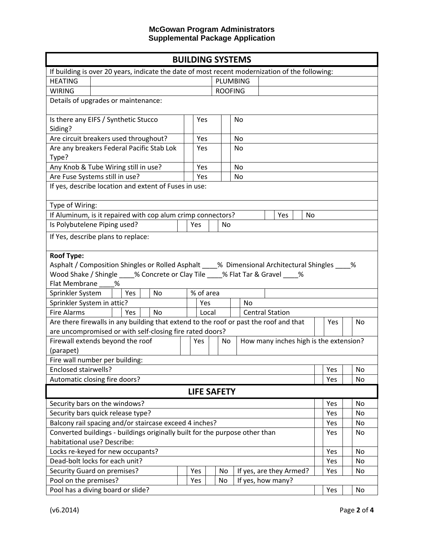| <b>BUILDING SYSTEMS</b>                                                                         |                               |                                                      |                |                        |                         |     |    |  |
|-------------------------------------------------------------------------------------------------|-------------------------------|------------------------------------------------------|----------------|------------------------|-------------------------|-----|----|--|
| If building is over 20 years, indicate the date of most recent modernization of the following:  |                               |                                                      |                |                        |                         |     |    |  |
| <b>HEATING</b>                                                                                  | PLUMBING                      |                                                      |                |                        |                         |     |    |  |
| <b>WIRING</b>                                                                                   |                               |                                                      | <b>ROOFING</b> |                        |                         |     |    |  |
| Details of upgrades or maintenance:                                                             |                               |                                                      |                |                        |                         |     |    |  |
|                                                                                                 |                               |                                                      |                |                        |                         |     |    |  |
| Is there any EIFS / Synthetic Stucco                                                            |                               | Yes                                                  |                | No                     |                         |     |    |  |
| Siding?                                                                                         |                               |                                                      |                |                        |                         |     |    |  |
| Are circuit breakers used throughout?                                                           |                               | Yes                                                  |                | No                     |                         |     |    |  |
| Are any breakers Federal Pacific Stab Lok                                                       |                               | Yes                                                  |                | <b>No</b>              |                         |     |    |  |
| Type?                                                                                           |                               |                                                      |                |                        |                         |     |    |  |
| Any Knob & Tube Wiring still in use?                                                            |                               | Yes                                                  |                | No                     |                         |     |    |  |
| Are Fuse Systems still in use?                                                                  |                               | Yes                                                  |                | No                     |                         |     |    |  |
| If yes, describe location and extent of Fuses in use:                                           |                               |                                                      |                |                        |                         |     |    |  |
|                                                                                                 |                               |                                                      |                |                        |                         |     |    |  |
| Type of Wiring:                                                                                 |                               |                                                      |                |                        |                         |     |    |  |
| If Aluminum, is it repaired with cop alum crimp connectors?                                     |                               |                                                      |                |                        | Yes<br>No               |     |    |  |
| Is Polybutelene Piping used?                                                                    |                               | Yes                                                  | <b>No</b>      |                        |                         |     |    |  |
| If Yes, describe plans to replace:                                                              |                               |                                                      |                |                        |                         |     |    |  |
|                                                                                                 |                               |                                                      |                |                        |                         |     |    |  |
| <b>Roof Type:</b>                                                                               |                               |                                                      |                |                        |                         |     |    |  |
| Asphalt / Composition Shingles or Rolled Asphalt ____% Dimensional Architectural Shingles ____% |                               |                                                      |                |                        |                         |     |    |  |
| Wood Shake / Shingle ____% Concrete or Clay Tile ____% Flat Tar & Gravel ____%                  |                               |                                                      |                |                        |                         |     |    |  |
| Flat Membrane<br>%                                                                              |                               |                                                      |                |                        |                         |     |    |  |
| Sprinkler System                                                                                | % of area<br><b>No</b><br>Yes |                                                      |                |                        |                         |     |    |  |
| Sprinkler System in attic?                                                                      |                               | Yes<br><b>No</b>                                     |                |                        |                         |     |    |  |
| <b>Fire Alarms</b><br>Yes<br><b>No</b>                                                          |                               | Local                                                |                | <b>Central Station</b> |                         |     |    |  |
| Are there firewalls in any building that extend to the roof or past the roof and that           |                               |                                                      |                |                        |                         | Yes | No |  |
| are uncompromised or with self-closing fire rated doors?                                        |                               |                                                      |                |                        |                         |     |    |  |
| Firewall extends beyond the roof                                                                |                               | How many inches high is the extension?<br>Yes<br>No. |                |                        |                         |     |    |  |
| (parapet)                                                                                       |                               |                                                      |                |                        |                         |     |    |  |
| Fire wall number per building:                                                                  |                               |                                                      |                |                        |                         |     |    |  |
| Enclosed stairwells?                                                                            |                               |                                                      |                | Yes                    | No                      |     |    |  |
| Automatic closing fire doors?                                                                   |                               |                                                      | Yes            | No                     |                         |     |    |  |
| <b>LIFE SAFETY</b>                                                                              |                               |                                                      |                |                        |                         |     |    |  |
| Security bars on the windows?                                                                   |                               |                                                      |                |                        | Yes                     | No  |    |  |
| Security bars quick release type?                                                               |                               |                                                      |                | Yes                    | No                      |     |    |  |
| Balcony rail spacing and/or staircase exceed 4 inches?                                          |                               |                                                      |                |                        | Yes                     | No  |    |  |
| Converted buildings - buildings originally built for the purpose other than                     |                               |                                                      |                |                        |                         | Yes | No |  |
| habitational use? Describe:                                                                     |                               |                                                      |                |                        |                         |     |    |  |
| Locks re-keyed for new occupants?                                                               |                               |                                                      |                |                        |                         | Yes | No |  |
| Dead-bolt locks for each unit?                                                                  |                               |                                                      |                |                        | Yes                     | No  |    |  |
| Security Guard on premises?                                                                     |                               | Yes                                                  | No             |                        | If yes, are they Armed? | Yes | No |  |
| Pool on the premises?                                                                           |                               | Yes                                                  | No             | If yes, how many?      |                         |     |    |  |
| Pool has a diving board or slide?                                                               |                               |                                                      |                |                        |                         |     | No |  |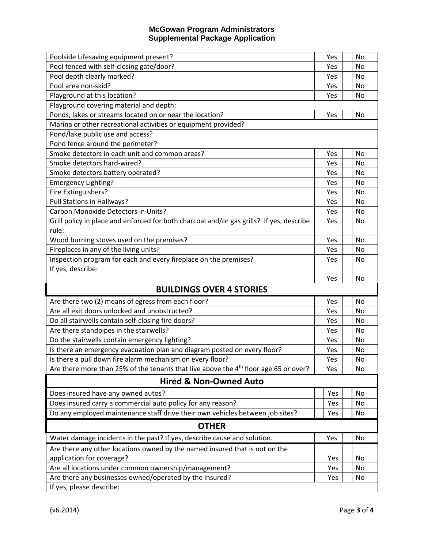| Poolside Lifesaving equipment present?                                                                          | Yes        | <b>No</b> |  |  |  |  |  |  |
|-----------------------------------------------------------------------------------------------------------------|------------|-----------|--|--|--|--|--|--|
| Pool fenced with self-closing gate/door?                                                                        | Yes        | No        |  |  |  |  |  |  |
| Pool depth clearly marked?                                                                                      | Yes        | No        |  |  |  |  |  |  |
| Pool area non-skid?                                                                                             | Yes        | No        |  |  |  |  |  |  |
| Playground at this location?                                                                                    | Yes        | No        |  |  |  |  |  |  |
| Playground covering material and depth:                                                                         |            |           |  |  |  |  |  |  |
| Ponds, lakes or streams located on or near the location?                                                        | Yes        | <b>No</b> |  |  |  |  |  |  |
| Marina or other recreational activities or equipment provided?                                                  |            |           |  |  |  |  |  |  |
| Pond/lake public use and access?                                                                                |            |           |  |  |  |  |  |  |
| Pond fence around the perimeter?                                                                                |            |           |  |  |  |  |  |  |
| Smoke detectors in each unit and common areas?                                                                  | Yes        | No        |  |  |  |  |  |  |
| Smoke detectors hard-wired?                                                                                     | Yes        | No        |  |  |  |  |  |  |
| Smoke detectors battery operated?                                                                               | Yes        | No        |  |  |  |  |  |  |
| Emergency Lighting?                                                                                             | Yes        | No        |  |  |  |  |  |  |
| Fire Extinguishers?                                                                                             | Yes        | No        |  |  |  |  |  |  |
| Pull Stations in Hallways?                                                                                      | Yes        | No        |  |  |  |  |  |  |
| Carbon Monoxide Detectors in Units?                                                                             | Yes        | No        |  |  |  |  |  |  |
| Grill policy in place and enforced for both charcoal and/or gas grills? If yes, describe                        | Yes        | No        |  |  |  |  |  |  |
| rule:                                                                                                           |            |           |  |  |  |  |  |  |
| Wood burning stoves used on the premises?                                                                       | Yes        | <b>No</b> |  |  |  |  |  |  |
| Fireplaces in any of the living units?                                                                          | Yes        | No        |  |  |  |  |  |  |
| Inspection program for each and every fireplace on the premises?                                                | Yes        | No        |  |  |  |  |  |  |
| If yes, describe:                                                                                               |            |           |  |  |  |  |  |  |
|                                                                                                                 | Yes        | No        |  |  |  |  |  |  |
| <b>BUILDINGS OVER 4 STORIES</b>                                                                                 |            |           |  |  |  |  |  |  |
| Are there two (2) means of egress from each floor?                                                              | Yes        | No        |  |  |  |  |  |  |
| Are all exit doors unlocked and unobstructed?                                                                   |            | No        |  |  |  |  |  |  |
|                                                                                                                 | Yes        |           |  |  |  |  |  |  |
| Do all stairwells contain self-closing fire doors?                                                              | Yes        | No        |  |  |  |  |  |  |
| Are there standpipes in the stairwells?                                                                         | Yes        | No        |  |  |  |  |  |  |
| Do the stairwells contain emergency lighting?                                                                   | Yes        | No        |  |  |  |  |  |  |
| Is there an emergency evacuation plan and diagram posted on every floor?                                        | Yes        | No        |  |  |  |  |  |  |
| Is there a pull down fire alarm mechanism on every floor?                                                       | Yes        | No        |  |  |  |  |  |  |
| Are there more than 25% of the tenants that live above the $4th$ floor age 65 or over?                          | Yes        | No        |  |  |  |  |  |  |
| <b>Hired &amp; Non-Owned Auto</b>                                                                               |            |           |  |  |  |  |  |  |
|                                                                                                                 | Yes        | No        |  |  |  |  |  |  |
| Does insured have any owned autos?                                                                              |            |           |  |  |  |  |  |  |
| Does insured carry a commercial auto policy for any reason?                                                     | Yes        | No        |  |  |  |  |  |  |
| Do any employed maintenance staff drive their own vehicles between job sites?                                   | Yes        | No        |  |  |  |  |  |  |
| <b>OTHER</b>                                                                                                    | Yes        | No        |  |  |  |  |  |  |
| Water damage incidents in the past? If yes, describe cause and solution.                                        |            |           |  |  |  |  |  |  |
| Are there any other locations owned by the named insured that is not on the                                     |            |           |  |  |  |  |  |  |
| application for coverage?                                                                                       | Yes        | No        |  |  |  |  |  |  |
| Are all locations under common ownership/management?<br>Are there any businesses owned/operated by the insured? | Yes<br>Yes | No<br>No  |  |  |  |  |  |  |